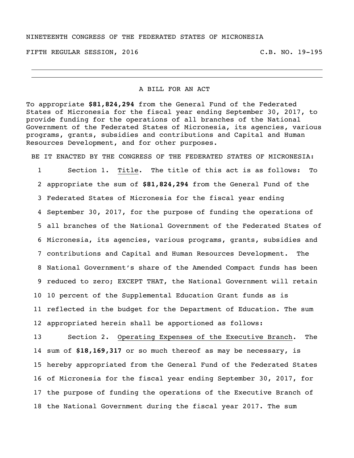#### NINETEENTH CONGRESS OF THE FEDERATED STATES OF MICRONESIA

FIFTH REGULAR SESSION, 2016 C.B. NO. 19-195

## A BILL FOR AN ACT

To appropriate **\$81,824,294** from the General Fund of the Federated States of Micronesia for the fiscal year ending September 30, 2017, to provide funding for the operations of all branches of the National Government of the Federated States of Micronesia, its agencies, various programs, grants, subsidies and contributions and Capital and Human Resources Development, and for other purposes.

BE IT ENACTED BY THE CONGRESS OF THE FEDERATED STATES OF MICRONESIA:

 Section 1. Title. The title of this act is as follows: To appropriate the sum of **\$81,824,294** from the General Fund of the Federated States of Micronesia for the fiscal year ending September 30, 2017, for the purpose of funding the operations of all branches of the National Government of the Federated States of Micronesia, its agencies, various programs, grants, subsidies and contributions and Capital and Human Resources Development. The National Government's share of the Amended Compact funds has been reduced to zero; EXCEPT THAT, the National Government will retain 10 percent of the Supplemental Education Grant funds as is reflected in the budget for the Department of Education. The sum appropriated herein shall be apportioned as follows:

 Section 2. Operating Expenses of the Executive Branch. The sum of **\$18,169,317** or so much thereof as may be necessary, is hereby appropriated from the General Fund of the Federated States of Micronesia for the fiscal year ending September 30, 2017, for the purpose of funding the operations of the Executive Branch of the National Government during the fiscal year 2017. The sum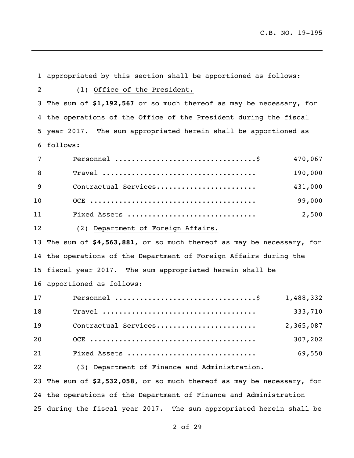appropriated by this section shall be apportioned as follows: (1) Office of the President. The sum of **\$1,192,567** or so much thereof as may be necessary, for the operations of the Office of the President during the fiscal year 2017. The sum appropriated herein shall be apportioned as follows: Personnel ..................................\$ 470,067 Travel ..................................... 190,000 Contractual Services........................ 431,000 OCE ........................................ 99,000 Fixed Assets ............................... 2,500 (2) Department of Foreign Affairs. The sum of **\$4,563,881**, or so much thereof as may be necessary, for the operations of the Department of Foreign Affairs during the fiscal year 2017. The sum appropriated herein shall be apportioned as follows: Personnel ..................................\$ 1,488,332 Travel ..................................... 333,710 Contractual Services........................ 2,365,087 OCE ........................................ 307,202 Fixed Assets ............................... 69,550 (3) Department of Finance and Administration. The sum of **\$2,532,058**, or so much thereof as may be necessary, for the operations of the Department of Finance and Administration

during the fiscal year 2017. The sum appropriated herein shall be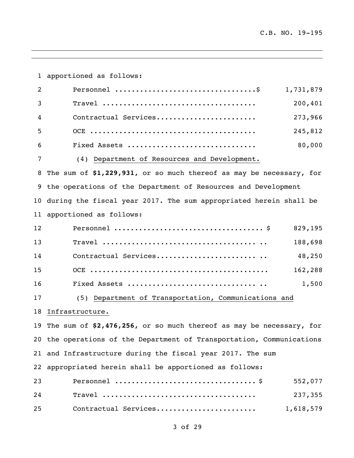apportioned as follows: Personnel ..................................\$ 1,731,879 Travel ..................................... 200,401 Contractual Services........................ 273,966 OCE ........................................ 245,812 Fixed Assets ............................... 80,000 (4) Department of Resources and Development. The sum of **\$1,229,931**, or so much thereof as may be necessary, for the operations of the Department of Resources and Development during the fiscal year 2017. The sum appropriated herein shall be apportioned as follows: Personnel .................................... \$ 829,195 Travel ..................................... .. 188,698 14 Contractual Services............................. 48,250 OCE ........................................... 162,288 Fixed Assets ............................... .. 1,500 (5) Department of Transportation, Communications and Infrastructure. The sum of **\$2,476,256,** or so much thereof as may be necessary, for the operations of the Department of Transportation, Communications and Infrastructure during the fiscal year 2017. The sum appropriated herein shall be apportioned as follows: Personnel .................................. \$ 552,077 Travel ..................................... 237,355 Contractual Services........................ 1,618,579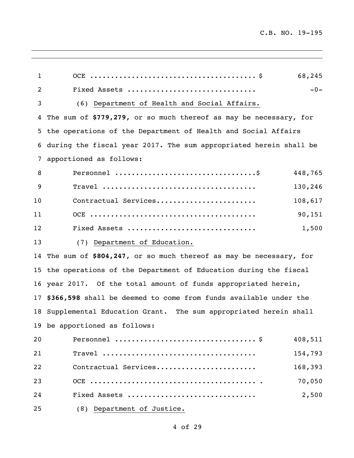| $\mathbf{1}$      | 68,245                                                               |
|-------------------|----------------------------------------------------------------------|
| 2                 | Fixed Assets<br>$-0-$                                                |
| 3                 | (6) Department of Health and Social Affairs.                         |
| 4                 | The sum of \$779,279, or so much thereof as may be necessary, for    |
|                   | 5 the operations of the Department of Health and Social Affairs      |
|                   | 6 during the fiscal year 2017. The sum appropriated herein shall be  |
| 7                 | apportioned as follows:                                              |
| 8                 | 448,765                                                              |
| 9                 | 130,246                                                              |
| 10                | Contractual Services<br>108,617                                      |
| 11                | 90,151                                                               |
| $12 \overline{ }$ | 1,500<br>Fixed Assets                                                |
| 13                | (7) Department of Education.                                         |
|                   | 14 The sum of \$804,247, or so much thereof as may be necessary, for |
|                   | 15 the operations of the Department of Education during the fiscal   |
|                   | 16 year 2017. Of the total amount of funds appropriated herein,      |
|                   | 17 \$366,598 shall be deemed to come from funds available under the  |
|                   | 18 Supplemental Education Grant. The sum appropriated herein shall   |
|                   | 19 be apportioned as follows:                                        |
| 20                | 408,511                                                              |
| 21                | $\texttt{True}$<br>154,793                                           |
| 22                | Contractual Services<br>168,393                                      |
| 23                | 70,050                                                               |
| 24                | 2,500<br>Fixed Assets                                                |
| 25                | (8) Department of Justice.                                           |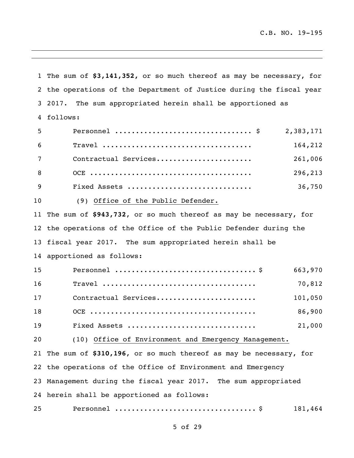The sum of **\$3,141,352,** or so much thereof as may be necessary, for the operations of the Department of Justice during the fiscal year 2017. The sum appropriated herein shall be apportioned as follows: Personnel ................................. \$ 2,383,171 Travel .................................... 164,212 Contractual Services....................... 261,006 OCE ....................................... 296,213 Fixed Assets .............................. 36,750 (9) Office of the Public Defender. The sum of **\$943,732**, or so much thereof as may be necessary, for the operations of the Office of the Public Defender during the fiscal year 2017. The sum appropriated herein shall be apportioned as follows: Personnel .................................. \$ 663,970 Travel ..................................... 70,812 Contractual Services........................ 101,050 OCE ........................................ 86,900 Fixed Assets ............................... 21,000 (10) Office of Environment and Emergency Management. The sum of **\$310,196**, or so much thereof as may be necessary, for the operations of the Office of Environment and Emergency Management during the fiscal year 2017. The sum appropriated herein shall be apportioned as follows: Personnel .................................. \$ 181,464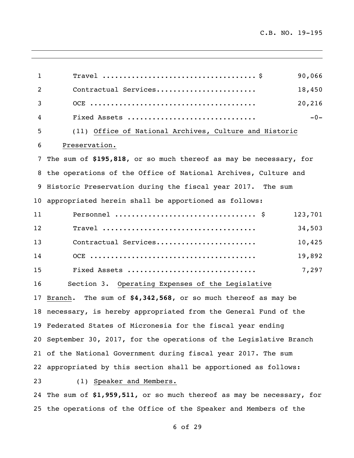| $\mathbf{1}$    | 90,066                                                                                                  |
|-----------------|---------------------------------------------------------------------------------------------------------|
| $\overline{c}$  | 18,450<br>Contractual Services                                                                          |
| 3               | 20,216                                                                                                  |
| 4               | $-0-$<br>Fixed Assets                                                                                   |
| 5               | (11) Office of National Archives, Culture and Historic                                                  |
| 6               | Preservation.                                                                                           |
| 7 <sup>7</sup>  | The sum of \$195,818, or so much thereof as may be necessary, for                                       |
|                 | 8 the operations of the Office of National Archives, Culture and                                        |
|                 | 9 Historic Preservation during the fiscal year 2017. The sum                                            |
| 10 <sub>1</sub> | appropriated herein shall be apportioned as follows:                                                    |
| 11              | 123,701                                                                                                 |
| 12              | 34,503<br>$\texttt{Trace1}\texttt{ } \dots \dots \dots \dots \dots \dots \dots \dots \dots \dots \dots$ |
| 13              | Contractual Services<br>10,425                                                                          |
| 14              | 19,892                                                                                                  |
| 15              | 7,297<br>Fixed Assets                                                                                   |
| 16              | Section 3. Operating Expenses of the Legislative                                                        |
| 17              | Branch. The sum of \$4,342,568, or so much thereof as may be                                            |
|                 | 18 necessary, is hereby appropriated from the General Fund of the                                       |
|                 | 19 Federated States of Micronesia for the fiscal year ending                                            |
|                 | 20 September 30, 2017, for the operations of the Legislative Branch                                     |
|                 | 21 of the National Government during fiscal year 2017. The sum                                          |
|                 | 22 appropriated by this section shall be apportioned as follows:                                        |
| 23              | (1) Speaker and Members.                                                                                |
|                 | 24 The sum of \$1,959,511, or so much thereof as may be necessary, for                                  |
|                 | 25 the operations of the Office of the Speaker and Members of the                                       |

and the contract of the contract of the contract of the contract of the contract of the contract of the contract of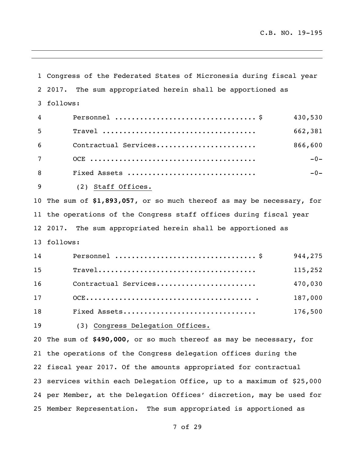Congress of the Federated States of Micronesia during fiscal year 2017. The sum appropriated herein shall be apportioned as follows: Personnel .................................. \$ 430,530 Travel ..................................... 662,381 Contractual Services........................ 866,600 OCE ........................................ -0- Fixed Assets ............................... -0- (2) Staff Offices. The sum of **\$1,893,057**, or so much thereof as may be necessary, for the operations of the Congress staff offices during fiscal year 2017. The sum appropriated herein shall be apportioned as follows: Personnel .................................. \$ 944,275 Travel...................................... 115,252 Contractual Services........................ 470,030 OCE........................................ . 187,000 Fixed Assets................................ 176,500 (3) Congress Delegation Offices. The sum of **\$490,000**, or so much thereof as may be necessary, for the operations of the Congress delegation offices during the fiscal year 2017. Of the amounts appropriated for contractual services within each Delegation Office, up to a maximum of \$25,000 per Member, at the Delegation Offices' discretion, may be used for Member Representation. The sum appropriated is apportioned as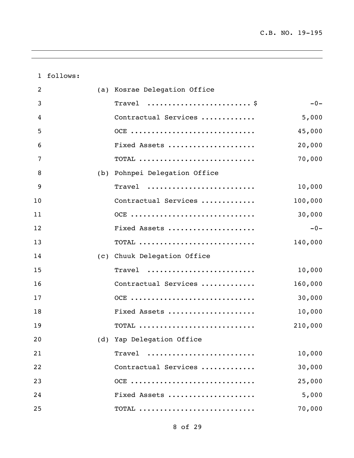follows:

| 2  | (a) Kosrae Delegation Office  |         |
|----|-------------------------------|---------|
| 3  | Travel $\frac{1}{2}$          | $-0-$   |
| 4  | Contractual Services          | 5,000   |
| 5  | OCE                           | 45,000  |
| 6  | Fixed Assets                  | 20,000  |
| 7  | $\text{TOTAL}$                | 70,000  |
| 8  | (b) Pohnpei Delegation Office |         |
| 9  | Travel                        | 10,000  |
| 10 | Contractual Services          | 100,000 |
| 11 | OCE                           | 30,000  |
| 12 | Fixed Assets                  | $-0-$   |
| 13 | $\text{TOTAL}$                | 140,000 |
| 14 | (c) Chuuk Delegation Office   |         |
| 15 | Travel                        | 10,000  |
| 16 | Contractual Services          | 160,000 |
| 17 | OCE                           | 30,000  |
| 18 | Fixed Assets                  | 10,000  |
| 19 |                               | 210,000 |
| 20 | (d) Yap Delegation Office     |         |
| 21 | Travel                        | 10,000  |
| 22 | Contractual Services          | 30,000  |
| 23 | OCE                           | 25,000  |
| 24 | Fixed Assets                  | 5,000   |
| 25 | $\text{TOTAL}$                | 70,000  |

<u> 1989 - Johann Stoff, amerikansk politiker (\* 1908)</u>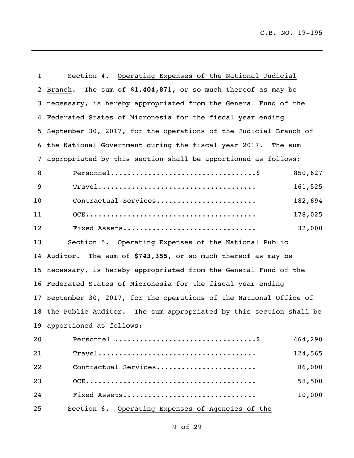| 1              | Section 4. Operating Expenses of the National Judicial                                                |         |
|----------------|-------------------------------------------------------------------------------------------------------|---------|
| $\overline{2}$ | Branch. The sum of \$1,404,871, or so much thereof as may be                                          |         |
| 3              | necessary, is hereby appropriated from the General Fund of the                                        |         |
| 4              | Federated States of Micronesia for the fiscal year ending                                             |         |
| 5              | September 30, 2017, for the operations of the Judicial Branch of                                      |         |
| 6              | the National Government during the fiscal year 2017. The sum                                          |         |
| 7              | appropriated by this section shall be apportioned as follows:                                         |         |
| 8              |                                                                                                       | 850,627 |
| 9              |                                                                                                       | 161,525 |
| 10             | Contractual Services                                                                                  | 182,694 |
| 11             |                                                                                                       | 178,025 |
| 12             | Fixed Assets                                                                                          | 32,000  |
| 13             | Section 5. Operating Expenses of the National Public                                                  |         |
| 14             | Auditor. The sum of \$743,355, or so much thereof as may be                                           |         |
|                | 15 necessary, is hereby appropriated from the General Fund of the                                     |         |
|                | 16 Federated States of Micronesia for the fiscal year ending                                          |         |
| 17             | September 30, 2017, for the operations of the National Office of                                      |         |
|                | 18 the Public Auditor. The sum appropriated by this section shall be                                  |         |
|                | 19 apportioned as follows:                                                                            |         |
| 20             |                                                                                                       | 464,290 |
| 21             | $\texttt{Travel} \dots \dots \dots \dots \dots \dots \dots \dots \dots \dots \dots \dots \dots \dots$ | 124,565 |
| 22             | Contractual Services                                                                                  | 86,000  |
| 23             |                                                                                                       | 58,500  |
| 24             | Fixed Assets                                                                                          | 10,000  |
| 25             | Operating Expenses of Agencies of the<br>Section 6.                                                   |         |

and the contract of the contract of the contract of the contract of the contract of the contract of the contract of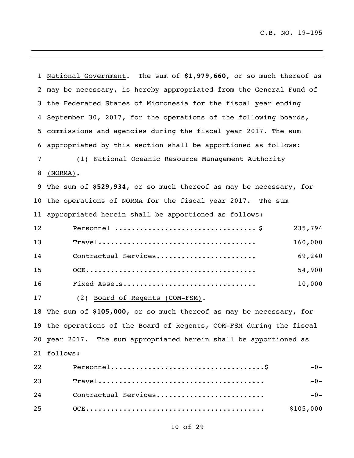$\overline{\phantom{a}}$ 

|    | 1 National Government. The sum of \$1,979,660, or so much thereof as |
|----|----------------------------------------------------------------------|
|    | 2 may be necessary, is hereby appropriated from the General Fund of  |
|    | 3 the Federated States of Micronesia for the fiscal year ending      |
|    | 4 September 30, 2017, for the operations of the following boards,    |
|    | 5 commissions and agencies during the fiscal year 2017. The sum      |
| 6  | appropriated by this section shall be apportioned as follows:        |
| 7  | (1) National Oceanic Resource Management Authority                   |
| 8  | $(NORMAL)$ .                                                         |
|    | 9 The sum of \$529,934, or so much thereof as may be necessary, for  |
|    | 10 the operations of NORMA for the fiscal year 2017. The sum         |
|    | 11 appropriated herein shall be apportioned as follows:              |
| 12 | 235,794                                                              |
| 13 | 160,000                                                              |
| 14 | 69,240<br>Contractual Services                                       |
| 15 | 54,900                                                               |
| 16 | 10,000<br>Fixed Assets                                               |
| 17 | (2) Board of Regents (COM-FSM).                                      |
|    | 18 The sum of \$105,000, or so much thereof as may be necessary, for |
|    | 19 the operations of the Board of Regents, COM-FSM during the fiscal |
|    | 20 year 2017. The sum appropriated herein shall be apportioned as    |
|    | 21 follows:                                                          |
| 22 | $-0-$                                                                |
| 23 | $-0-$                                                                |
| 24 | Contractual Services<br>$-0-$                                        |
| 25 | \$105,000                                                            |

and the contract of the contract of the contract of the contract of the contract of the contract of the contract of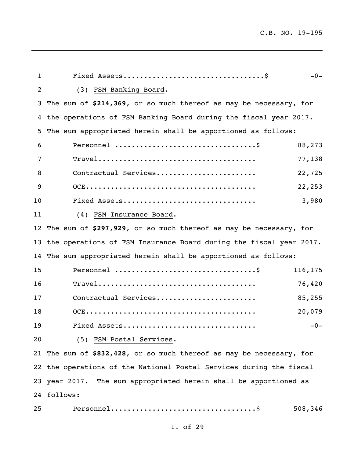| $\mathbf{1}$   | $-0-$                                                                |
|----------------|----------------------------------------------------------------------|
| $\overline{2}$ | (3) FSM Banking Board.                                               |
| 3              | The sum of \$214,369, or so much thereof as may be necessary, for    |
| 4              | the operations of FSM Banking Board during the fiscal year 2017.     |
| 5              | The sum appropriated herein shall be apportioned as follows:         |
| 6              | 88,273                                                               |
| 7              | 77,138                                                               |
| 8              | Contractual Services<br>22,725                                       |
| 9              | 22,253                                                               |
| 10             | Fixed Assets<br>3,980                                                |
| 11             | (4) FSM Insurance Board.                                             |
| 12             | The sum of \$297,929, or so much thereof as may be necessary, for    |
| 13             | the operations of FSM Insurance Board during the fiscal year 2017.   |
| 14             | The sum appropriated herein shall be apportioned as follows:         |
| 15             | 116,175                                                              |
| 16             | 76,420                                                               |
| 17             | Contractual Services<br>85,255                                       |
| 18             | 20,079                                                               |
| 19             | Fixed Assets<br>$-0-$                                                |
| 20             | (5) FSM Postal Services.                                             |
|                | 21 The sum of \$832,428, or so much thereof as may be necessary, for |
|                | 22 the operations of the National Postal Services during the fiscal  |
|                | 23 year 2017. The sum appropriated herein shall be apportioned as    |
|                | 24 follows:                                                          |
| 25             | 508,346                                                              |

,我们也不会有什么。""我们的人,我们也不会有什么?""我们的人,我们也不会有什么?""我们的人,我们也不会有什么?""我们的人,我们也不会有什么?""我们的人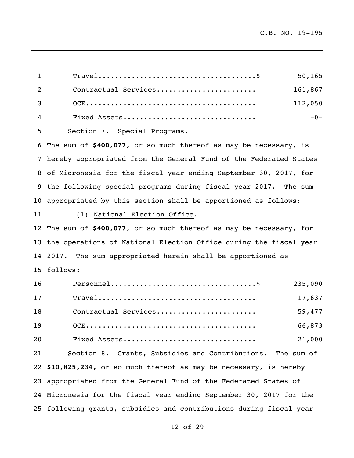| $\mathbf{1}$   | 50, 165                                                             |
|----------------|---------------------------------------------------------------------|
| $\overline{2}$ | Contractual Services<br>161,867                                     |
| 3              | 112,050                                                             |
| 4              | Fixed Assets<br>$-0-$                                               |
| 5              | Section 7. Special Programs.                                        |
|                | 6 The sum of \$400,077, or so much thereof as may be necessary, is  |
|                | 7 hereby appropriated from the General Fund of the Federated States |
|                | 8 of Micronesia for the fiscal year ending September 30, 2017, for  |

 the following special programs during fiscal year 2017. The sum appropriated by this section shall be apportioned as follows:

### (1) National Election Office.

 The sum of **\$400,077**, or so much thereof as may be necessary, for the operations of National Election Office during the fiscal year 2017. The sum appropriated herein shall be apportioned as follows:

| 16 | 235,090                                                             |  |
|----|---------------------------------------------------------------------|--|
| 17 | 17,637                                                              |  |
| 18 | Contractual Services<br>59,477                                      |  |
| 19 | 66,873                                                              |  |
| 20 | Fixed Assets<br>21,000                                              |  |
| 21 | Section 8. Grants, Subsidies and Contributions. The sum of          |  |
|    | 22 \$10,825,234, or so much thereof as may be necessary, is hereby  |  |
|    | 23 appropriated from the General Fund of the Federated States of    |  |
|    | 24 Micronesia for the fiscal year ending September 30, 2017 for the |  |

following grants, subsidies and contributions during fiscal year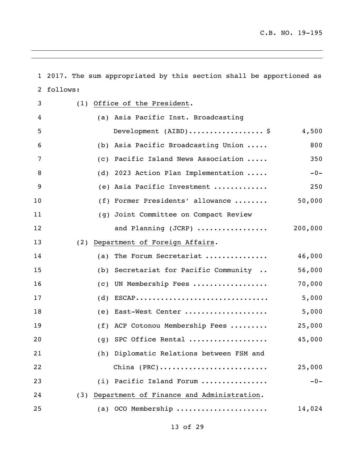|    | 1 2017. The sum appropriated by this section shall be apportioned as |  |  |  |  |
|----|----------------------------------------------------------------------|--|--|--|--|
| 2  | follows:                                                             |  |  |  |  |
| 3  | (1) Office of the President.                                         |  |  |  |  |
| 4  | (a) Asia Pacific Inst. Broadcasting                                  |  |  |  |  |
| 5  | Development (AIBD)\$<br>4,500                                        |  |  |  |  |
| 6  | (b) Asia Pacific Broadcasting Union<br>800                           |  |  |  |  |
| 7  | Pacific Island News Association<br>350<br>(C)                        |  |  |  |  |
| 8  | (d) 2023 Action Plan Implementation<br>$-0-$                         |  |  |  |  |
| 9  | (e) Asia Pacific Investment<br>250                                   |  |  |  |  |
| 10 | 50,000<br>(f) Former Presidents' allowance                           |  |  |  |  |
| 11 | (g) Joint Committee on Compact Review                                |  |  |  |  |
| 12 | 200,000<br>and Planning (JCRP)                                       |  |  |  |  |
| 13 | Department of Foreign Affairs.<br>(2)                                |  |  |  |  |
| 14 | 46,000<br>The Forum Secretariat<br>(a)                               |  |  |  |  |
| 15 | (b) Secretariat for Pacific Community<br>56,000                      |  |  |  |  |
| 16 | 70,000<br>UN Membership Fees<br>$\left( c\right)$                    |  |  |  |  |
| 17 | 5,000<br>$ESCAP$<br>(d)                                              |  |  |  |  |
| 18 | 5,000<br>(e) East-West Center                                        |  |  |  |  |
| 19 | (f) ACP Cotonou Membership Fees<br>25,000                            |  |  |  |  |
| 20 | (q) SPC Office Rental<br>45,000                                      |  |  |  |  |
| 21 | Diplomatic Relations between FSM and<br>(h)                          |  |  |  |  |
| 22 | China $(PRC)$<br>25,000                                              |  |  |  |  |
| 23 | $-0-$<br>(i) Pacific Island Forum                                    |  |  |  |  |
| 24 | Department of Finance and Administration.<br>(3)                     |  |  |  |  |
| 25 | OCO Membership<br>14,024<br>(a)                                      |  |  |  |  |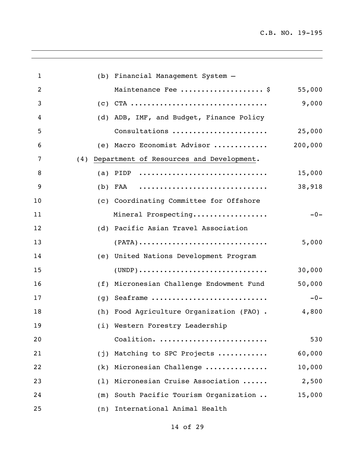$\overline{\phantom{0}}$ 

| $\mathbf{1}$   |     | (b) Financial Management System -                                                       |         |
|----------------|-----|-----------------------------------------------------------------------------------------|---------|
| $\overline{2}$ |     | Maintenance Fee  \$                                                                     | 55,000  |
| 3              |     | $(c)$ CTA                                                                               | 9,000   |
| $\overline{4}$ |     | (d) ADB, IMF, and Budget, Finance Policy                                                |         |
| 5              |     | Consultations                                                                           | 25,000  |
| 6              |     | (e) Macro Economist Advisor                                                             | 200,000 |
| 7              |     | (4) Department of Resources and Development.                                            |         |
| 8              |     | (a) PIDP $\ldots \ldots \ldots \ldots \ldots \ldots \ldots \ldots \ldots \ldots \ldots$ | 15,000  |
| 9              |     | $(b)$ FAA                                                                               | 38,918  |
| 10             |     | (c) Coordinating Committee for Offshore                                                 |         |
| 11             |     | Mineral Prospecting                                                                     | $-0-$   |
| 12             |     | (d) Pacific Asian Travel Association                                                    |         |
| 13             |     | $(PATA) \dots \dots \dots \dots \dots \dots \dots \dots \dots \dots \dots$              | 5,000   |
| 14             |     | (e) United Nations Development Program                                                  |         |
| 15             |     | $(UNDP) \dots \dots \dots \dots \dots \dots \dots \dots \dots \dots \dots \dots$        | 30,000  |
| 16             | (f) | Micronesian Challenge Endowment Fund                                                    | 50,000  |
| 17             | (q) | Seaframe                                                                                | $-0-$   |
| 18             | (h) | Food Agriculture Organization (FAO).                                                    | 4,800   |
| 19             |     | (i) Western Forestry Leadership                                                         |         |
| 20             |     | Coalition.                                                                              | 530     |
| 21             | (j) | Matching to SPC Projects                                                                | 60,000  |
| 22             | (k) | Micronesian Challenge                                                                   | 10,000  |
| 23             | (1) | Micronesian Cruise Association                                                          | 2,500   |
| 24             | (m) | South Pacific Tourism Organization                                                      | 15,000  |
| 25             | (n) | International Animal Health                                                             |         |

and the contract of the contract of the contract of the contract of the contract of the contract of the contract of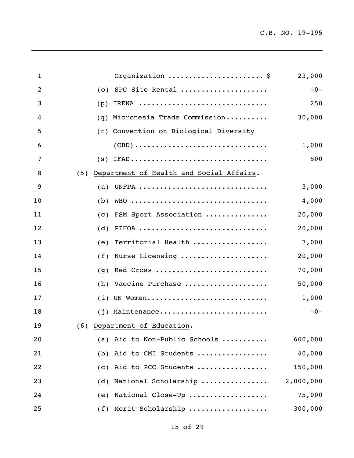$\overline{\phantom{a}}$ 

| $\mathbf{1}$   |     | Organization  \$                         | 23,000    |
|----------------|-----|------------------------------------------|-----------|
| $\overline{2}$ | (0) | SPC Site Rental                          | $-0-$     |
| 3              | (p) | IRENA                                    | 250       |
| 4              | (q) | Micronesia Trade Commission              | 30,000    |
| 5              |     | (r) Convention on Biological Diversity   |           |
| 6              |     |                                          | 1,000     |
| 7              | (S) | IFAD                                     | 500       |
| 8              | (5) | Department of Health and Social Affairs. |           |
| 9              | (a) | UNFPA                                    | 3,000     |
| 10             | (b) | WHO                                      | 4,000     |
| 11             | (c) | FSM Sport Association                    | 20,000    |
| 12             | (d) | PIHOA                                    | 20,000    |
| 13             | (e) | Territorial Health                       | 7,000     |
| 14             | (f) | Nurse Licensing                          | 20,000    |
| 15             | (q) | Red Cross                                | 70,000    |
| 16             | (h) | Vaccine Purchase                         | 50,000    |
| 17             | (i) | UN Women                                 | 1,000     |
| 18             | (i) | Maintenance                              | $-0-$     |
| 19             |     | (6) Department of Education.             |           |
| 20             |     | (a) Aid to Non-Public Schools            | 600,000   |
| 21             | (b) | Aid to CMI Students                      | 40,000    |
| 22             | (C) | Aid to PCC Students                      | 150,000   |
| 23             | (d) | National Scholarship                     | 2,000,000 |
| 24             | (e) | National Close-Up                        | 75,000    |
| 25             | (f) | Merit Scholarship                        | 300,000   |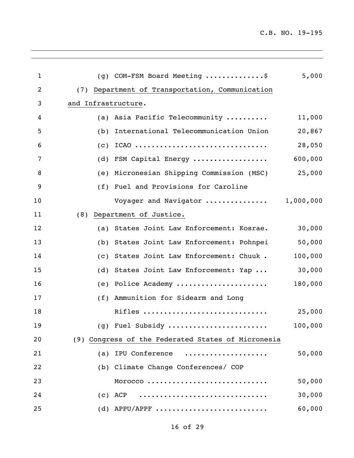$\overline{\phantom{a}}$ 

| $\mathbf{1}$   |                     | (g) COM-FSM Board Meeting \$                       | 5,000     |
|----------------|---------------------|----------------------------------------------------|-----------|
| $\overline{2}$ |                     | (7) Department of Transportation, Communication    |           |
| 3              | and Infrastructure. |                                                    |           |
| 4              |                     | (a) Asia Pacific Telecommunity                     | 11,000    |
| 5              | (b)                 | International Telecommunication Union              | 20,867    |
| 6              | (c)                 | ICA0                                               | 28,050    |
| 7              | (d)                 | FSM Capital Energy                                 | 600,000   |
| 8              |                     | (e) Micronesian Shipping Commission (MSC)          | 25,000    |
| 9              |                     | (f) Fuel and Provisions for Caroline               |           |
| 10             |                     | Voyager and Navigator                              | 1,000,000 |
| 11             | (8)                 | Department of Justice.                             |           |
| 12             | (a)                 | States Joint Law Enforcement: Kosrae.              | 30,000    |
| 13             | (b)                 | States Joint Law Enforcement: Pohnpei              | 50,000    |
| 14             | (C)                 | States Joint Law Enforcement: Chuuk.               | 100,000   |
| 15             | (d)                 | States Joint Law Enforcement: Yap                  | 30,000    |
| 16             | (e)                 | Police Academy                                     | 180,000   |
| 17             |                     | (f) Ammunition for Sidearm and Long                |           |
| 18             |                     | Rifles                                             | 25,000    |
| 19             |                     | (g) Fuel Subsidy                                   | 100,000   |
| 20             |                     | (9) Congress of the Federated States of Micronesia |           |
| 21             |                     | (a) IPU Conference                                 | 50,000    |
| 22             |                     | (b) Climate Change Conferences/ COP                |           |
| 23             |                     | MOrocco                                            | 50,000    |
| 24             |                     | $(c)$ ACP                                          | 30,000    |
| 25             |                     | $(d)$ APPU/APPF                                    | 60,000    |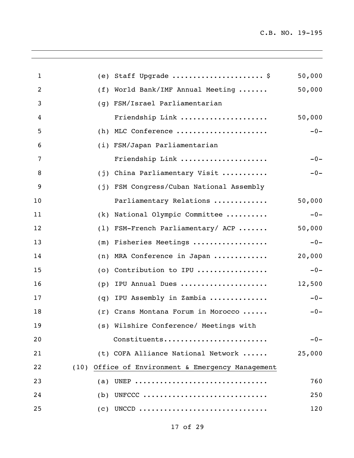$\overline{\phantom{a}}$ 

| 1              | Staff Upgrade  \$<br>(e)                          | 50,000 |
|----------------|---------------------------------------------------|--------|
| $\overline{2}$ | World Bank/IMF Annual Meeting<br>(f)              | 50,000 |
| 3              | FSM/Israel Parliamentarian<br>(q)                 |        |
| 4              | Friendship Link                                   | 50,000 |
| 5              | MLC Conference<br>(h)                             | $-0-$  |
| 6              | (i) FSM/Japan Parliamentarian                     |        |
| 7              | Friendship Link                                   | $-0-$  |
| 8              | China Parliamentary Visit<br>(i)                  | $-0-$  |
| 9              | FSM Congress/Cuban National Assembly<br>(i)       |        |
| 10             | Parliamentary Relations                           | 50,000 |
| 11             | National Olympic Committee<br>(k)                 | $-0-$  |
| 12             | FSM-French Parliamentary/ ACP<br>(1)              | 50,000 |
| 13             | Fisheries Meetings<br>(m)                         | $-0-$  |
| 14             | MRA Conference in Japan<br>(n)                    | 20,000 |
| 15             | Contribution to IPU<br>(0)                        | $-0-$  |
| 16             | IPU Annual Dues<br>(p)                            | 12,500 |
| 17             | IPU Assembly in Zambia<br>(q)                     | $-0-$  |
| 18             | (r) Crans Montana Forum in Morocco                | $-0-$  |
| 19             | (s) Wilshire Conference/ Meetings with            |        |
| 20             | Constituents                                      | $-0-$  |
| 21             | (t) COFA Alliance National Network                | 25,000 |
| 22             | (10) Office of Environment & Emergency Management |        |
| 23             | UNEP<br>(a)                                       | 760    |
| 24             | UNFCCC<br>(b)                                     | 250    |
| 25             | UNCCD<br>$\left( c\right)$                        | 120    |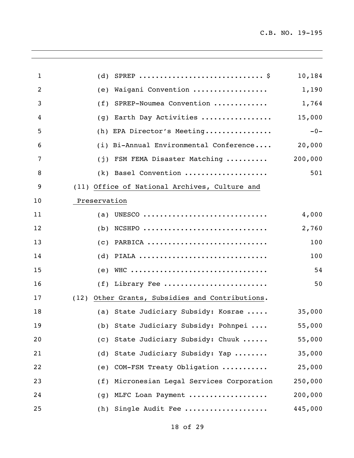$\overline{\phantom{a}}$ 

| 1              | (d)                                                | 10,184  |
|----------------|----------------------------------------------------|---------|
| $\overline{2}$ | Waigani Convention<br>(e)                          | 1,190   |
| 3              | SPREP-Noumea Convention<br>(f)                     | 1,764   |
| 4              | Earth Day Activities<br>(q)                        | 15,000  |
| 5              | EPA Director's Meeting<br>(h)                      | $-0-$   |
| 6              | (i) Bi-Annual Environmental Conference             | 20,000  |
| 7              | FSM FEMA Disaster Matching<br>(i)                  | 200,000 |
| 8              | Basel Convention<br>(k)                            | 501     |
| 9              | (11) Office of National Archives, Culture and      |         |
| 10             | Preservation                                       |         |
| 11             | UNESCO<br>(a)                                      | 4,000   |
| 12             | $NCSHPO$<br>(b)                                    | 2,760   |
| 13             | PARBICA<br>(C)                                     | 100     |
| 14             | PIALA<br>(d)                                       | 100     |
| 15             | WHC<br>(e)                                         | 54      |
| 16             | Library Fee<br>(f)                                 | 50      |
| 17             | Other Grants, Subsidies and Contributions.<br>(12) |         |
| 18             | (a) State Judiciary Subsidy: Kosrae                | 35,000  |
| 19             | (b) State Judiciary Subsidy: Pohnpei               | 55,000  |
| 20             | (c) State Judiciary Subsidy: Chuuk                 | 55,000  |
| 21             | State Judiciary Subsidy: Yap<br>(d)                | 35,000  |
| 22             | COM-FSM Treaty Obligation<br>(e)                   | 25,000  |
| 23             | Micronesian Legal Services Corporation<br>(f)      | 250,000 |
| 24             | MLFC Loan Payment<br>(g)                           | 200,000 |
| 25             | Single Audit Fee<br>(h)                            | 445,000 |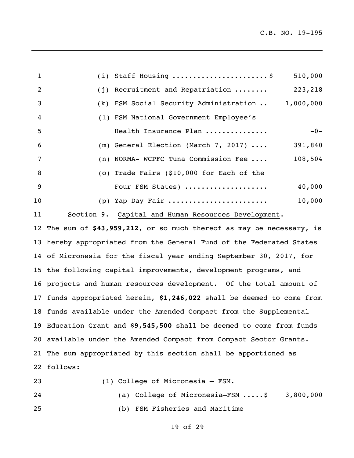| 1              | (i) Staff Housing  \$                               | 510,000   |
|----------------|-----------------------------------------------------|-----------|
| $\overline{2}$ | (j) Recruitment and Repatriation                    | 223,218   |
| 3              | (k) FSM Social Security Administration              | 1,000,000 |
| 4              | (1) FSM National Government Employee's              |           |
| 5              | Health Insurance Plan                               | $-0-$     |
| 6              | (m) General Election (March 7, 2017) $\ldots$       | 391,840   |
| 7              | (n) NORMA- WCPFC Tuna Commission Fee                | 108,504   |
| 8              | (o) Trade Fairs (\$10,000 for Each of the           |           |
| 9              | Four FSM States)                                    | 40,000    |
| 10             | (p) Yap Day Fair                                    | 10,000    |
| 11             | Section 9. Capital and Human Resources Development. |           |

 The sum of **\$43,959,212**, or so much thereof as may be necessary, is hereby appropriated from the General Fund of the Federated States of Micronesia for the fiscal year ending September 30, 2017, for the following capital improvements, development programs, and projects and human resources development. Of the total amount of funds appropriated herein, **\$1,246,022** shall be deemed to come from funds available under the Amended Compact from the Supplemental Education Grant and **\$9,545,500** shall be deemed to come from funds available under the Amended Compact from Compact Sector Grants. The sum appropriated by this section shall be apportioned as follows:

- 
- (1) College of Micronesia FSM.

 (a) College of Micronesia–FSM .....\$ 3,800,000 (b) FSM Fisheries and Maritime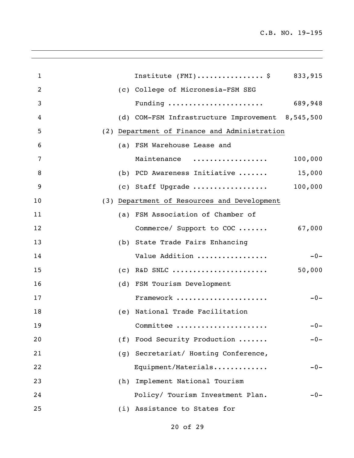$\overline{\phantom{a}}$ 

| 1  |     | Institute $(FMI)$ \$ 833,915                        |         |
|----|-----|-----------------------------------------------------|---------|
| 2  |     | (c) College of Micronesia-FSM SEG                   |         |
| 3  |     | Funding $\ldots \ldots \ldots \ldots \ldots \ldots$ | 689,948 |
| 4  |     | (d) COM-FSM Infrastructure Improvement 8,545,500    |         |
| 5  |     | (2) Department of Finance and Administration        |         |
| 6  |     | (a) FSM Warehouse Lease and                         |         |
| 7  |     | Maintenance                                         | 100,000 |
| 8  |     | (b) PCD Awareness Initiative $15,000$               |         |
| 9  |     | (c) Staff Upgrade                                   | 100,000 |
| 10 |     | (3) Department of Resources and Development         |         |
| 11 |     | (a) FSM Association of Chamber of                   |         |
| 12 |     | Commerce/ Support to COC                            | 67,000  |
| 13 |     | (b) State Trade Fairs Enhancing                     |         |
| 14 |     | Value Addition                                      | $-0-$   |
| 15 |     |                                                     | 50,000  |
| 16 |     | (d) FSM Tourism Development                         |         |
| 17 |     | Framework                                           | $-0-$   |
| 18 |     | (e) National Trade Facilitation                     |         |
| 19 |     | Committee                                           | $-0-$   |
| 20 | (f) | Food Security Production                            | $-0-$   |
| 21 |     | (g) Secretariat/ Hosting Conference,                |         |
| 22 |     | Equipment/Materials                                 | $-0-$   |
| 23 |     | (h) Implement National Tourism                      |         |
| 24 |     | Policy/ Tourism Investment Plan.                    | $-0-$   |
| 25 |     | (i) Assistance to States for                        |         |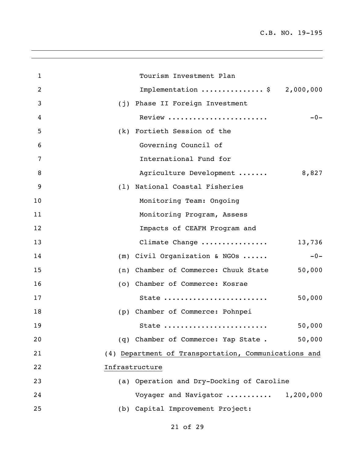$\overline{\phantom{a}}$ 

| $\mathbf{1}$   | Tourism Investment Plan                              |
|----------------|------------------------------------------------------|
| $\overline{2}$ | Implementation  \$ 2,000,000                         |
| 3              | (j) Phase II Foreign Investment                      |
| $\overline{4}$ | Review<br>$-0-$                                      |
| 5              | (k) Fortieth Session of the                          |
| 6              | Governing Council of                                 |
| 7              | International Fund for                               |
| 8              | Agriculture Development<br>8,827                     |
| 9              | National Coastal Fisheries<br>(1)                    |
| 10             | Monitoring Team: Ongoing                             |
| 11             | Monitoring Program, Assess                           |
| 12             | Impacts of CEAFM Program and                         |
| 13             | Climate Change<br>13,736                             |
| 14             | $(m)$ Civil Organization & NGOs<br>$-0-$             |
| 15             | 50,000<br>(n) Chamber of Commerce: Chuuk State       |
| 16             | (o) Chamber of Commerce: Kosrae                      |
| 17             | 50,000<br>State                                      |
| 18             | (p) Chamber of Commerce: Pohnpei                     |
| 19             | 50,000<br>State                                      |
| 20             | (q) Chamber of Commerce: Yap State.<br>50,000        |
| 21             | (4) Department of Transportation, Communications and |
| 22             | Infrastructure                                       |
| 23             | (a) Operation and Dry-Docking of Caroline            |
| 24             | Voyager and Navigator<br>1,200,000                   |
| 25             | (b) Capital Improvement Project:                     |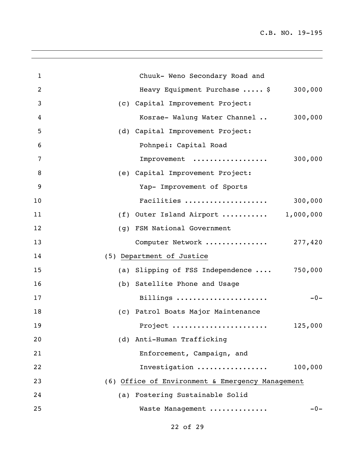$\overline{\phantom{a}}$ 

| $\mathbf{1}$ | Chuuk- Weno Secondary Road and                   |
|--------------|--------------------------------------------------|
| 2            | 300,000<br>Heavy Equipment Purchase  \$          |
| 3            | (c) Capital Improvement Project:                 |
| 4            | 300,000<br>Kosrae- Walung Water Channel          |
| 5            | (d) Capital Improvement Project:                 |
| 6            | Pohnpei: Capital Road                            |
| 7            | Improvement<br>300,000                           |
| 8            | (e) Capital Improvement Project:                 |
| 9            | Yap- Improvement of Sports                       |
| 10           | Facilities<br>300,000                            |
| 11           | (f) Outer Island Airport $1,000,000$             |
| 12           | (g) FSM National Government                      |
| 13           | Computer Network  277,420                        |
| 14           | (5) Department of Justice                        |
| 15           | (a) Slipping of FSS Independence  750,000        |
| 16           | (b) Satellite Phone and Usage                    |
| 17           | Billings<br>$-0-$                                |
| 18           | (c) Patrol Boats Major Maintenance               |
| 19           | Project<br>125,000                               |
| 20           | (d) Anti-Human Trafficking                       |
| 21           | Enforcement, Campaign, and                       |
| 22           | Investigation<br>100,000                         |
| 23           | (6) Office of Environment & Emergency Management |
| 24           | (a) Fostering Sustainable Solid                  |
| 25           | Waste Management<br>$-0-$                        |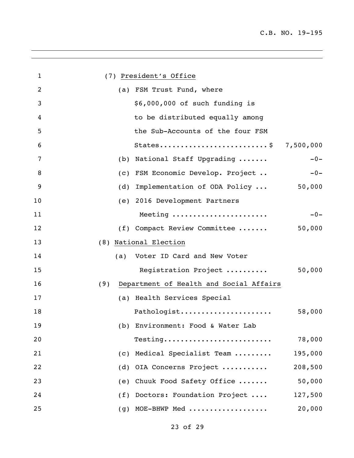| $\mathbf{1}$   | (7) President's Office                         |  |
|----------------|------------------------------------------------|--|
| $\overline{c}$ | (a) FSM Trust Fund, where                      |  |
| 3              | \$6,000,000 of such funding is                 |  |
| 4              | to be distributed equally among                |  |
| 5              | the Sub-Accounts of the four FSM               |  |
| 6              | States\$ 7,500,000                             |  |
| 7              | (b) National Staff Upgrading<br>$-0-$          |  |
| 8              | (c) FSM Economic Develop. Project<br>$-0-$     |  |
| 9              | (d) Implementation of ODA Policy<br>50,000     |  |
| 10             | (e) 2016 Development Partners                  |  |
| 11             | Meeting<br>$-0-$                               |  |
| 12             | (f) Compact Review Committee<br>50,000         |  |
| 13             | (8) National Election                          |  |
| 14             | (a) Voter ID Card and New Voter                |  |
| 15             | Registration Project<br>50,000                 |  |
| 16             | Department of Health and Social Affairs<br>(9) |  |
| 17             | (a) Health Services Special                    |  |
| 18             | Pathologist<br>58,000                          |  |
| 19             | (b) Environment: Food & Water Lab              |  |
| 20             | 78,000<br>Testing                              |  |
| 21             | Medical Specialist Team<br>195,000<br>(C)      |  |
| 22             | OIA Concerns Project<br>208,500<br>(d)         |  |
| 23             | 50,000<br>Chuuk Food Safety Office<br>(e)      |  |
| 24             | (f) Doctors: Foundation Project<br>127,500     |  |
| 25             | MOE-BHWP Med<br>20,000<br>(g)                  |  |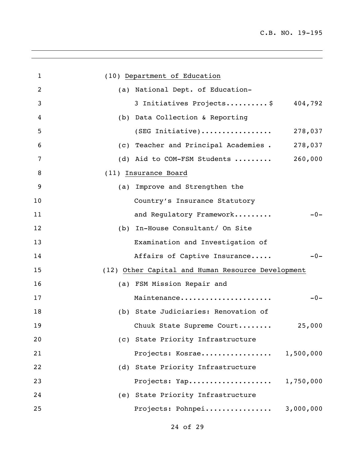| $\mathbf{1}$   | (10) Department of Education                      |           |
|----------------|---------------------------------------------------|-----------|
| $\overline{2}$ | (a) National Dept. of Education-                  |           |
| 3              | 3 Initiatives Projects \$                         | 404,792   |
| 4              | (b) Data Collection & Reporting                   |           |
| 5              | $(SEG$ Initiative)                                | 278,037   |
| 6              | (c) Teacher and Principal Academies.              | 278,037   |
| $\overline{7}$ | (d) Aid to COM-FSM Students                       | 260,000   |
| 8              | (11) Insurance Board                              |           |
| 9              | (a) Improve and Strengthen the                    |           |
| 10             | Country's Insurance Statutory                     |           |
| 11             | and Regulatory Framework                          | $-0-$     |
| 12             | (b) In-House Consultant/ On Site                  |           |
| 13             | Examination and Investigation of                  |           |
| 14             | Affairs of Captive Insurance                      | $-0-$     |
| 15             | (12) Other Capital and Human Resource Development |           |
| 16             | (a) FSM Mission Repair and                        |           |
| 17             | Maintenance                                       | $-0-$     |
| 18             | (b) State Judiciaries: Renovation of              |           |
| 19             | Chuuk State Supreme Court                         | 25,000    |
| 20             | (c) State Priority Infrastructure                 |           |
| 21             | Projects: Kosrae                                  | 1,500,000 |
| 22             | (d) State Priority Infrastructure                 |           |
| 23             | Projects: Yap                                     | 1,750,000 |
| 24             | (e) State Priority Infrastructure                 |           |
| 25             | Projects: Pohnpei                                 | 3,000,000 |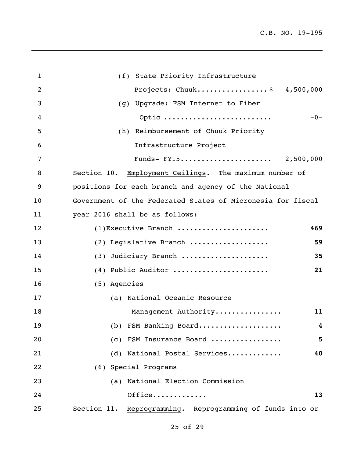$\overline{\phantom{a}}$ 

| $\mathbf{1}$   | (f) State Priority Infrastructure                            |
|----------------|--------------------------------------------------------------|
| $\overline{2}$ | Projects: Chuuk\$ 4,500,000                                  |
| 3              | (g) Upgrade: FSM Internet to Fiber                           |
| 4              | Optic<br>$-0-$                                               |
| 5              | (h) Reimbursement of Chuuk Priority                          |
| 6              | Infrastructure Project                                       |
| 7              | Funds- FY15 2,500,000                                        |
| 8              | Section 10. Employment Ceilings. The maximum number of       |
| 9              | positions for each branch and agency of the National         |
| 10             | Government of the Federated States of Micronesia for fiscal  |
| 11             | year 2016 shall be as follows:                               |
| 12             | (1) Executive Branch<br>469                                  |
| 13             | (2) Legislative Branch<br>59                                 |
| 14             | (3) Judiciary Branch<br>35                                   |
| 15             | (4) Public Auditor<br>21                                     |
| 16             | (5) Agencies                                                 |
| 17             | (a) National Oceanic Resource                                |
| 18             | Management Authority<br>11                                   |
| 19             | (b) FSM Banking Board<br>4                                   |
| 20             | (c) FSM Insurance Board<br>5                                 |
| 21             | (d) National Postal Services<br>40                           |
| 22             | (6) Special Programs                                         |
| 23             | (a) National Election Commission                             |
| 24             | Office<br>13                                                 |
| 25             | Section 11.<br>Reprogramming. Reprogramming of funds into or |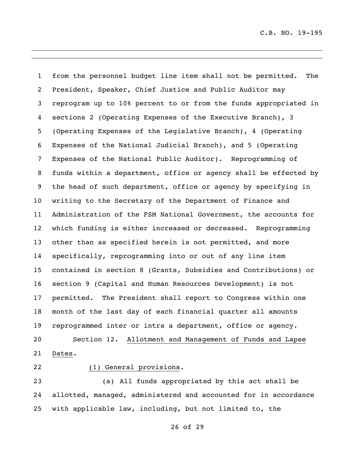from the personnel budget line item shall not be permitted. The President, Speaker, Chief Justice and Public Auditor may reprogram up to 10% percent to or from the funds appropriated in sections 2 (Operating Expenses of the Executive Branch), 3 (Operating Expenses of the Legislative Branch), 4 (Operating Expenses of the National Judicial Branch), and 5 (Operating Expenses of the National Public Auditor). Reprogramming of funds within a department, office or agency shall be effected by the head of such department, office or agency by specifying in writing to the Secretary of the Department of Finance and Administration of the FSM National Government, the accounts for which funding is either increased or decreased. Reprogramming other than as specified herein is not permitted, and more specifically, reprogramming into or out of any line item contained in section 8 (Grants, Subsidies and Contributions) or section 9 (Capital and Human Resources Development) is not permitted. The President shall report to Congress within one month of the last day of each financial quarter all amounts reprogrammed inter or intra a department, office or agency. Section 12. Allotment and Management of Funds and Lapse Dates.

## (1) General provisions.

 (a) All funds appropriated by this act shall be allotted, managed, administered and accounted for in accordance with applicable law, including, but not limited to, the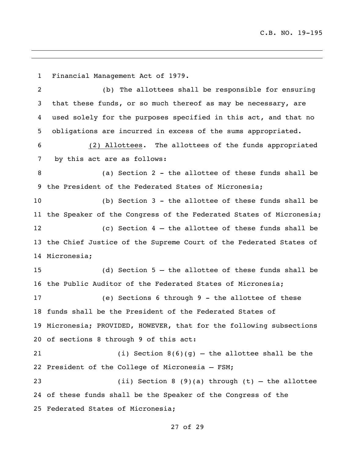Financial Management Act of 1979.

 (b) The allottees shall be responsible for ensuring that these funds, or so much thereof as may be necessary, are used solely for the purposes specified in this act, and that no obligations are incurred in excess of the sums appropriated.

 (2) Allottees. The allottees of the funds appropriated by this act are as follows:

 (a) Section 2 - the allottee of these funds shall be the President of the Federated States of Micronesia;

 (b) Section 3 - the allottee of these funds shall be the Speaker of the Congress of the Federated States of Micronesia; (c) Section 4 – the allottee of these funds shall be the Chief Justice of the Supreme Court of the Federated States of Micronesia;

 (d) Section 5 – the allottee of these funds shall be the Public Auditor of the Federated States of Micronesia;

 (e) Sections 6 through 9 - the allottee of these funds shall be the President of the Federated States of Micronesia; PROVIDED, HOWEVER, that for the following subsections of sections 8 through 9 of this act:

21 (i) Section  $8(6)(g)$  – the allottee shall be the President of the College of Micronesia – FSM;

 (ii) Section 8 (9)(a) through (t) – the allottee of these funds shall be the Speaker of the Congress of the Federated States of Micronesia;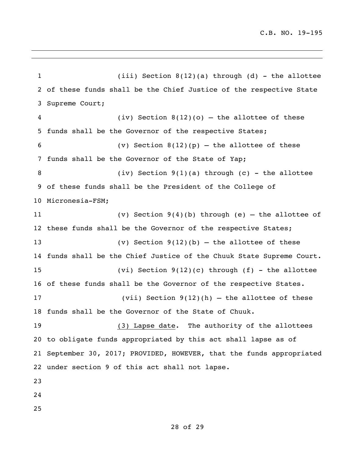(iii) Section 8(12)(a) through (d) - the allottee of these funds shall be the Chief Justice of the respective State Supreme Court; (iv) Section 8(12)(o) – the allottee of these funds shall be the Governor of the respective States; 6 (v) Section  $8(12)(p)$  – the allottee of these funds shall be the Governor of the State of Yap; 8 (iv) Section 9(1)(a) through (c) - the allottee of these funds shall be the President of the College of Micronesia-FSM; (v) Section 9(4)(b) through (e) – the allottee of 12 these funds shall be the Governor of the respective States; (v) Section 9(12)(b) – the allottee of these funds shall be the Chief Justice of the Chuuk State Supreme Court. (vi) Section 9(12)(c) through (f) - the allottee of these funds shall be the Governor of the respective States. (vii) Section 9(12)(h) – the allottee of these funds shall be the Governor of the State of Chuuk. (3) Lapse date. The authority of the allottees to obligate funds appropriated by this act shall lapse as of September 30, 2017; PROVIDED, HOWEVER, that the funds appropriated under section 9 of this act shall not lapse.